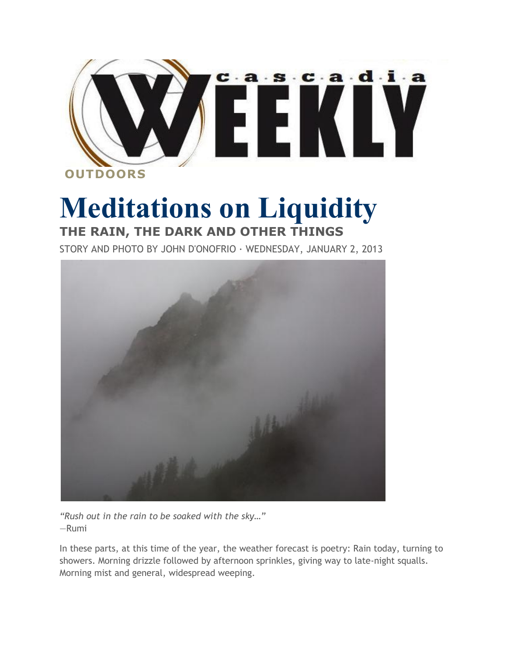

## **Meditations on Liquidity THE RAIN, THE DARK AND OTHER THINGS**

STORY AND PHOTO BY JOHN D'ONOFRIO · WEDNESDAY, JANUARY 2, 2013



*"Rush out in the rain to be soaked with the sky…"* —Rumi

In these parts, at this time of the year, the weather forecast is poetry: Rain today, turning to showers. Morning drizzle followed by afternoon sprinkles, giving way to late-night squalls. Morning mist and general, widespread weeping.